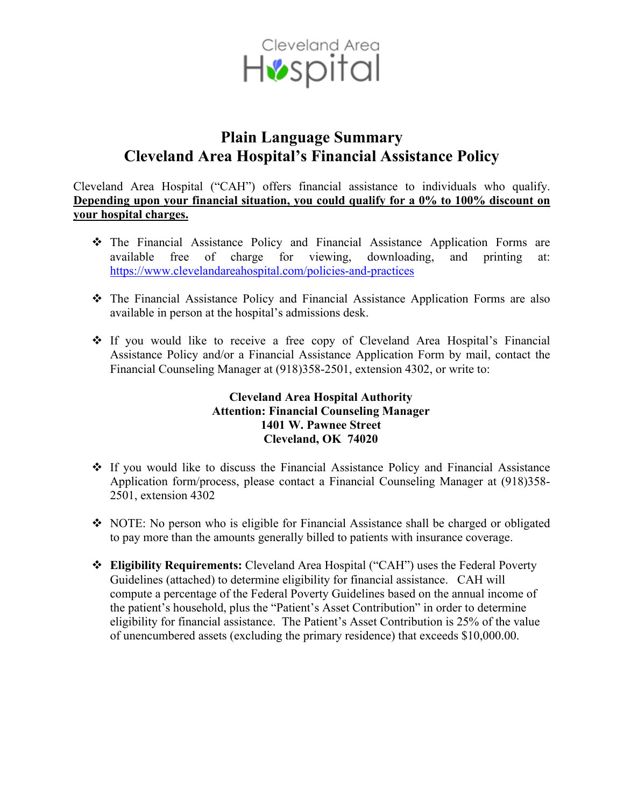

## **Plain Language Summary Cleveland Area Hospital's Financial Assistance Policy**

Cleveland Area Hospital ("CAH") offers financial assistance to individuals who qualify. **Depending upon your financial situation, you could qualify for a 0% to 100% discount on your hospital charges.**

- The Financial Assistance Policy and Financial Assistance Application Forms are available free of charge for viewing, downloading, and printing at: <https://www.clevelandareahospital.com/policies-and-practices>
- The Financial Assistance Policy and Financial Assistance Application Forms are also available in person at the hospital's admissions desk.
- If you would like to receive a free copy of Cleveland Area Hospital's Financial Assistance Policy and/or a Financial Assistance Application Form by mail, contact the Financial Counseling Manager at (918)358-2501, extension 4302, or write to:

## **Cleveland Area Hospital Authority Attention: Financial Counseling Manager 1401 W. Pawnee Street Cleveland, OK 74020**

- $\div$  If you would like to discuss the Financial Assistance Policy and Financial Assistance Application form/process, please contact a Financial Counseling Manager at (918)358- 2501, extension 4302
- NOTE: No person who is eligible for Financial Assistance shall be charged or obligated to pay more than the amounts generally billed to patients with insurance coverage.
- **Eligibility Requirements:** Cleveland Area Hospital ("CAH") uses the Federal Poverty Guidelines (attached) to determine eligibility for financial assistance. CAH will compute a percentage of the Federal Poverty Guidelines based on the annual income of the patient's household, plus the "Patient's Asset Contribution" in order to determine eligibility for financial assistance. The Patient's Asset Contribution is 25% of the value of unencumbered assets (excluding the primary residence) that exceeds \$10,000.00.